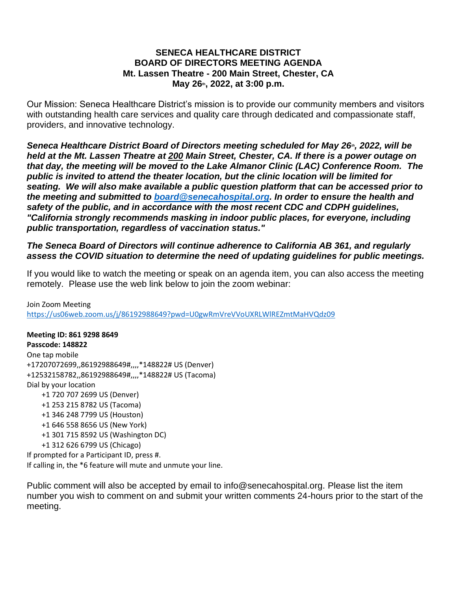#### **SENECA HEALTHCARE DISTRICT BOARD OF DIRECTORS MEETING AGENDA Mt. Lassen Theatre - 200 Main Street, Chester, CA May 26th, 2022, at 3:00 p.m.**

Our Mission: Seneca Healthcare District's mission is to provide our community members and visitors with outstanding health care services and quality care through dedicated and compassionate staff, providers, and innovative technology.

*Seneca Healthcare District Board of Directors meeting scheduled for May 26th, 2022, will be held at the Mt. Lassen Theatre at [200](https://www.bing.com/local?lid=YN873x10979119402229396056&id=YN873x10979119402229396056&q=Mt.+Lassen+Theatre&name=Mt.+Lassen+Theatre&cp=40.31023025512695%7e-121.22940826416016&ppois=40.31023025512695_-121.22940826416016_Mt.+Lassen+Theatre) Main Street, Chester, CA. If there is a power outage on that day, the meeting will be moved to the Lake Almanor Clinic (LAC) Conference Room. The public is invited to attend the theater location, but the clinic location will be limited for seating. We will also make available a public question platform that can be accessed prior to the meeting and submitted to [board@senecahospital.org.](mailto:board@senecahospital.org) In order to ensure the health and safety of the public, and in accordance with the most recent CDC and CDPH guidelines, "California strongly recommends masking in indoor public places, for everyone, including public transportation, regardless of vaccination status."*

## *The Seneca Board of Directors will continue adherence to California AB 361, and regularly assess the COVID situation to determine the need of updating guidelines for public meetings.*

If you would like to watch the meeting or speak on an agenda item, you can also access the meeting remotely. Please use the web link below to join the zoom webinar:

Join Zoom Meeting <https://us06web.zoom.us/j/86192988649?pwd=U0gwRmVreVVoUXRLWlREZmtMaHVQdz09>

**Meeting ID: 861 9298 8649 Passcode: 148822** One tap mobile +17207072699,,86192988649#,,,,\*148822# US (Denver) +12532158782,,86192988649#,,,,\*148822# US (Tacoma) Dial by your location +1 720 707 2699 US (Denver) +1 253 215 8782 US (Tacoma) +1 346 248 7799 US (Houston) +1 646 558 8656 US (New York) +1 301 715 8592 US (Washington DC) +1 312 626 6799 US (Chicago) If prompted for a Participant ID, press #.

If calling in, the \*6 feature will mute and unmute your line.

Public comment will also be accepted by email to info@senecahospital.org. Please list the item number you wish to comment on and submit your written comments 24-hours prior to the start of the meeting.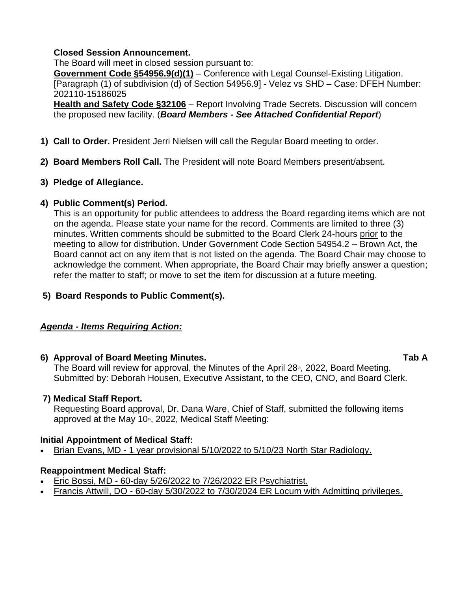#### **Closed Session Announcement.**

The Board will meet in closed session pursuant to:

**Government Code §54956.9(d)(1)** – Conference with Legal Counsel-Existing Litigation. [Paragraph (1) of subdivision (d) of Section 54956.9] - Velez vs SHD – Case: DFEH Number: 202110-15186025

**Health and Safety Code §32106** – Report Involving Trade Secrets. Discussion will concern the proposed new facility. (*Board Members - See Attached Confidential Report*)

- **1) Call to Order.** President Jerri Nielsen will call the Regular Board meeting to order.
- **2) Board Members Roll Call.** The President will note Board Members present/absent.

## **3) Pledge of Allegiance.**

## **4) Public Comment(s) Period.**

This is an opportunity for public attendees to address the Board regarding items which are not on the agenda. Please state your name for the record. Comments are limited to three (3) minutes. Written comments should be submitted to the Board Clerk 24-hours prior to the meeting to allow for distribution. Under Government Code Section 54954.2 – Brown Act, the Board cannot act on any item that is not listed on the agenda. The Board Chair may choose to acknowledge the comment. When appropriate, the Board Chair may briefly answer a question; refer the matter to staff; or move to set the item for discussion at a future meeting.

## **5) Board Responds to Public Comment(s).**

### *Agenda - Items Requiring Action:*

### **6) Approval of Board Meeting Minutes. Tab A**

The Board will review for approval, the Minutes of the April  $28<sub>th</sub>$ , 2022, Board Meeting. Submitted by: Deborah Housen, Executive Assistant, to the CEO, CNO, and Board Clerk.

### **7) Medical Staff Report.**

Requesting Board approval, Dr. Dana Ware, Chief of Staff, submitted the following items approved at the May 10 $\text{h}$ , 2022, Medical Staff Meeting:

### **Initial Appointment of Medical Staff:**

• Brian Evans, MD - 1 year provisional 5/10/2022 to 5/10/23 North Star Radiology.

## **Reappointment Medical Staff:**

- Eric Bossi, MD 60-day 5/26/2022 to 7/26/2022 ER Psychiatrist.
- Francis Attwill, DO 60-day 5/30/2022 to 7/30/2024 ER Locum with Admitting privileges.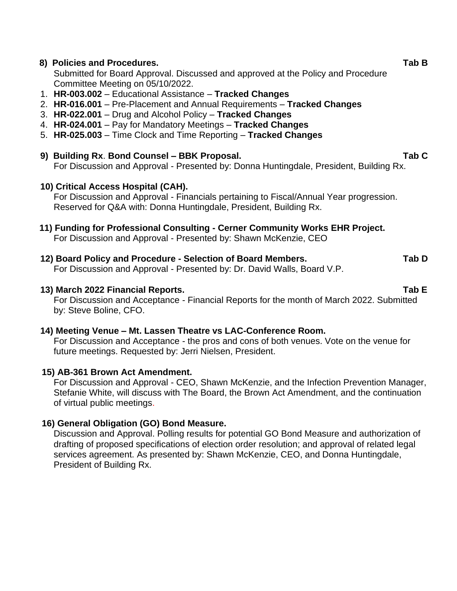## **8) Policies and Procedures. Tab B**

Submitted for Board Approval. Discussed and approved at the Policy and Procedure Committee Meeting on 05/10/2022.

- 1. **HR-003.002**  Educational Assistance **Tracked Changes**
- 2. **HR-016.001** Pre-Placement and Annual Requirements **Tracked Changes**
- 3. **HR-022.001** Drug and Alcohol Policy **Tracked Changes**
- 4. **HR-024.001** Pay for Mandatory Meetings **Tracked Changes**
- 5. **HR-025.003** Time Clock and Time Reporting **Tracked Changes**

## **9) Building Rx**. **Bond Counsel – BBK Proposal. Tab C**

For Discussion and Approval - Presented by: Donna Huntingdale, President, Building Rx.

## **10) Critical Access Hospital (CAH).**

For Discussion and Approval - Financials pertaining to Fiscal/Annual Year progression. Reserved for Q&A with: Donna Huntingdale, President, Building Rx.

# **11) Funding for Professional Consulting - Cerner Community Works EHR Project.**

For Discussion and Approval - Presented by: Shawn McKenzie, CEO

## **12) Board Policy and Procedure - Selection of Board Members. Tab D**

For Discussion and Approval - Presented by: Dr. David Walls, Board V.P.

## **13) March 2022 Financial Reports. Tab E**

For Discussion and Acceptance - Financial Reports for the month of March 2022. Submitted by: Steve Boline, CFO.

### **14) Meeting Venue – Mt. Lassen Theatre vs LAC-Conference Room.**

For Discussion and Acceptance - the pros and cons of both venues. Vote on the venue for future meetings. Requested by: Jerri Nielsen, President.

## **15) AB-361 Brown Act Amendment.**

For Discussion and Approval - CEO, Shawn McKenzie, and the Infection Prevention Manager, Stefanie White, will discuss with The Board, the Brown Act Amendment, and the continuation of virtual public meetings.

## **16) General Obligation (GO) Bond Measure.**

Discussion and Approval. Polling results for potential GO Bond Measure and authorization of drafting of proposed specifications of election order resolution; and approval of related legal services agreement. As presented by: Shawn McKenzie, CEO, and Donna Huntingdale, President of Building Rx.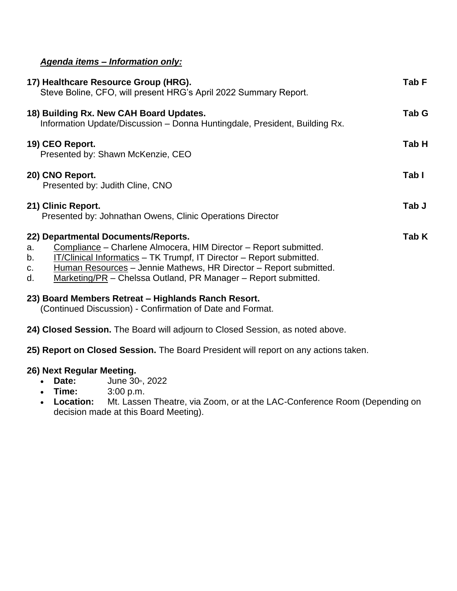## *Agenda items – Information only:*

| 17) Healthcare Resource Group (HRG).<br>Steve Boline, CFO, will present HRG's April 2022 Summary Report.                                                                                                                                                                                                                                       | Tab F |
|------------------------------------------------------------------------------------------------------------------------------------------------------------------------------------------------------------------------------------------------------------------------------------------------------------------------------------------------|-------|
| 18) Building Rx. New CAH Board Updates.<br>Information Update/Discussion - Donna Huntingdale, President, Building Rx.                                                                                                                                                                                                                          | Tab G |
| 19) CEO Report.<br>Presented by: Shawn McKenzie, CEO                                                                                                                                                                                                                                                                                           | Tab H |
| 20) CNO Report.<br>Presented by: Judith Cline, CNO                                                                                                                                                                                                                                                                                             | Tab I |
| 21) Clinic Report.<br>Presented by: Johnathan Owens, Clinic Operations Director                                                                                                                                                                                                                                                                | Tab J |
| 22) Departmental Documents/Reports.<br>Compliance – Charlene Almocera, HIM Director – Report submitted.<br>a.<br>IT/Clinical Informatics - TK Trumpf, IT Director - Report submitted.<br>b.<br>Human Resources – Jennie Mathews, HR Director – Report submitted.<br>C.<br>Marketing/PR - Chelssa Outland, PR Manager - Report submitted.<br>d. | Tab K |

## **23) Board Members Retreat – Highlands Ranch Resort.**

(Continued Discussion) - Confirmation of Date and Format.

**24) Closed Session.** The Board will adjourn to Closed Session, as noted above.

**25) Report on Closed Session.** The Board President will report on any actions taken.

### **26) Next Regular Meeting.**

- **Date:** June 30<sup>th</sup>, 2022
- **Time:** 3:00 p.m.
- **Location:** Mt. Lassen Theatre, via Zoom, or at the LAC-Conference Room (Depending on decision made at this Board Meeting).